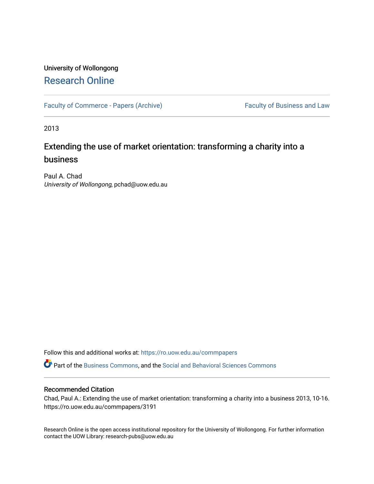## University of Wollongong [Research Online](https://ro.uow.edu.au/)

[Faculty of Commerce - Papers \(Archive\)](https://ro.uow.edu.au/commpapers) Faculty of Business and Law

2013

# Extending the use of market orientation: transforming a charity into a business

Paul A. Chad University of Wollongong, pchad@uow.edu.au

Follow this and additional works at: [https://ro.uow.edu.au/commpapers](https://ro.uow.edu.au/commpapers?utm_source=ro.uow.edu.au%2Fcommpapers%2F3191&utm_medium=PDF&utm_campaign=PDFCoverPages) 

Part of the [Business Commons](http://network.bepress.com/hgg/discipline/622?utm_source=ro.uow.edu.au%2Fcommpapers%2F3191&utm_medium=PDF&utm_campaign=PDFCoverPages), and the [Social and Behavioral Sciences Commons](http://network.bepress.com/hgg/discipline/316?utm_source=ro.uow.edu.au%2Fcommpapers%2F3191&utm_medium=PDF&utm_campaign=PDFCoverPages) 

#### Recommended Citation

Chad, Paul A.: Extending the use of market orientation: transforming a charity into a business 2013, 10-16. https://ro.uow.edu.au/commpapers/3191

Research Online is the open access institutional repository for the University of Wollongong. For further information contact the UOW Library: research-pubs@uow.edu.au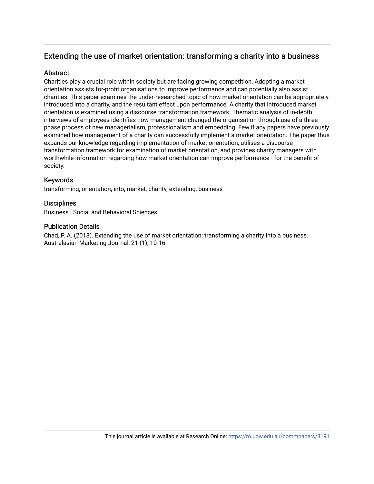## Extending the use of market orientation: transforming a charity into a business

## **Abstract**

Charities play a crucial role within society but are facing growing competition. Adopting a market orientation assists for-profit organisations to improve performance and can potentially also assist charities. This paper examines the under-researched topic of how market orientation can be appropriately introduced into a charity, and the resultant effect upon performance. A charity that introduced market orientation is examined using a discourse transformation framework. Thematic analysis of in-depth interviews of employees identifies how management changed the organisation through use of a threephase process of new managerialism, professionalism and embedding. Few if any papers have previously examined how management of a charity can successfully implement a market orientation. The paper thus expands our knowledge regarding implementation of market orientation, utilises a discourse transformation framework for examination of market orientation, and provides charity managers with worthwhile information regarding how market orientation can improve performance - for the benefit of society.

## Keywords

transforming, orientation, into, market, charity, extending, business

## **Disciplines**

Business | Social and Behavioral Sciences

## Publication Details

Chad, P. A. (2013). Extending the use of market orientation: transforming a charity into a business. Australasian Marketing Journal, 21 (1), 10-16.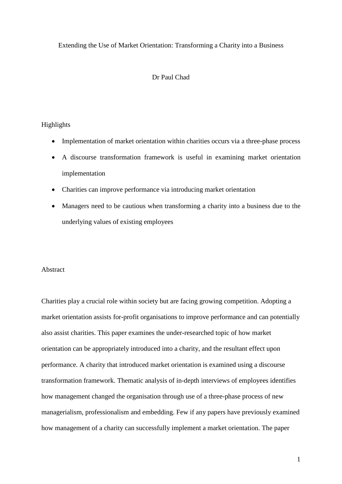## Extending the Use of Market Orientation: Transforming a Charity into a Business

## Dr Paul Chad

## Highlights

- Implementation of market orientation within charities occurs via a three-phase process
- A discourse transformation framework is useful in examining market orientation implementation
- Charities can improve performance via introducing market orientation
- Managers need to be cautious when transforming a charity into a business due to the underlying values of existing employees

#### Abstract

Charities play a crucial role within society but are facing growing competition. Adopting a market orientation assists for-profit organisations to improve performance and can potentially also assist charities. This paper examines the under-researched topic of how market orientation can be appropriately introduced into a charity, and the resultant effect upon performance. A charity that introduced market orientation is examined using a discourse transformation framework. Thematic analysis of in-depth interviews of employees identifies how management changed the organisation through use of a three-phase process of new managerialism, professionalism and embedding. Few if any papers have previously examined how management of a charity can successfully implement a market orientation. The paper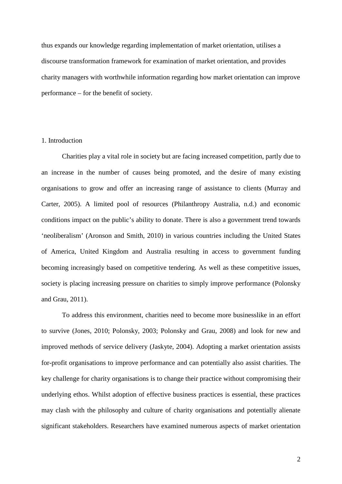thus expands our knowledge regarding implementation of market orientation, utilises a discourse transformation framework for examination of market orientation, and provides charity managers with worthwhile information regarding how market orientation can improve performance – for the benefit of society.

## 1. Introduction

Charities play a vital role in society but are facing increased competition, partly due to an increase in the number of causes being promoted, and the desire of many existing organisations to grow and offer an increasing range of assistance to clients (Murray and Carter, 2005). A limited pool of resources (Philanthropy Australia, n.d.) and economic conditions impact on the public's ability to donate. There is also a government trend towards 'neoliberalism' (Aronson and Smith, 2010) in various countries including the United States of America, United Kingdom and Australia resulting in access to government funding becoming increasingly based on competitive tendering. As well as these competitive issues, society is placing increasing pressure on charities to simply improve performance (Polonsky and Grau, 2011).

To address this environment, charities need to become more businesslike in an effort to survive (Jones, 2010; Polonsky, 2003; Polonsky and Grau, 2008) and look for new and improved methods of service delivery (Jaskyte, 2004). Adopting a market orientation assists for-profit organisations to improve performance and can potentially also assist charities. The key challenge for charity organisations is to change their practice without compromising their underlying ethos. Whilst adoption of effective business practices is essential, these practices may clash with the philosophy and culture of charity organisations and potentially alienate significant stakeholders. Researchers have examined numerous aspects of market orientation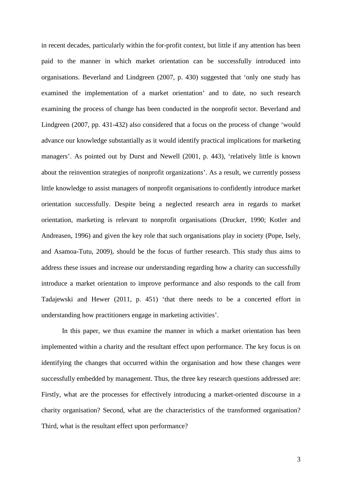in recent decades, particularly within the for-profit context, but little if any attention has been paid to the manner in which market orientation can be successfully introduced into organisations. Beverland and Lindgreen (2007, p. 430) suggested that 'only one study has examined the implementation of a market orientation' and to date, no such research examining the process of change has been conducted in the nonprofit sector. Beverland and Lindgreen (2007, pp. 431-432) also considered that a focus on the process of change 'would advance our knowledge substantially as it would identify practical implications for marketing managers'. As pointed out by Durst and Newell (2001, p. 443), 'relatively little is known about the reinvention strategies of nonprofit organizations'. As a result, we currently possess little knowledge to assist managers of nonprofit organisations to confidently introduce market orientation successfully. Despite being a neglected research area in regards to market orientation, marketing is relevant to nonprofit organisations (Drucker, 1990; Kotler and Andreasen, 1996) and given the key role that such organisations play in society (Pope, Isely, and Asamoa-Tutu, 2009), should be the focus of further research. This study thus aims to address these issues and increase our understanding regarding how a charity can successfully introduce a market orientation to improve performance and also responds to the call from Tadajewski and Hewer (2011, p. 451) 'that there needs to be a concerted effort in understanding how practitioners engage in marketing activities'.

In this paper, we thus examine the manner in which a market orientation has been implemented within a charity and the resultant effect upon performance. The key focus is on identifying the changes that occurred within the organisation and how these changes were successfully embedded by management. Thus, the three key research questions addressed are: Firstly, what are the processes for effectively introducing a market-oriented discourse in a charity organisation? Second, what are the characteristics of the transformed organisation? Third, what is the resultant effect upon performance?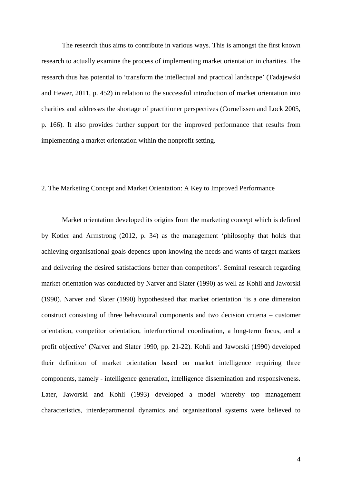The research thus aims to contribute in various ways. This is amongst the first known research to actually examine the process of implementing market orientation in charities. The research thus has potential to 'transform the intellectual and practical landscape' (Tadajewski and Hewer, 2011, p. 452) in relation to the successful introduction of market orientation into charities and addresses the shortage of practitioner perspectives (Cornelissen and Lock 2005, p. 166). It also provides further support for the improved performance that results from implementing a market orientation within the nonprofit setting.

#### 2. The Marketing Concept and Market Orientation: A Key to Improved Performance

Market orientation developed its origins from the marketing concept which is defined by Kotler and Armstrong (2012, p. 34) as the management 'philosophy that holds that achieving organisational goals depends upon knowing the needs and wants of target markets and delivering the desired satisfactions better than competitors'. Seminal research regarding market orientation was conducted by Narver and Slater (1990) as well as Kohli and Jaworski (1990). Narver and Slater (1990) hypothesised that market orientation 'is a one dimension construct consisting of three behavioural components and two decision criteria – customer orientation, competitor orientation, interfunctional coordination, a long-term focus, and a profit objective' (Narver and Slater 1990, pp. 21-22). Kohli and Jaworski (1990) developed their definition of market orientation based on market intelligence requiring three components, namely - intelligence generation, intelligence dissemination and responsiveness. Later, Jaworski and Kohli (1993) developed a model whereby top management characteristics, interdepartmental dynamics and organisational systems were believed to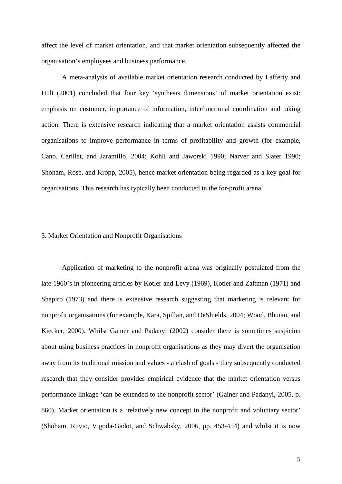affect the level of market orientation, and that market orientation subsequently affected the organisation's employees and business performance.

A meta-analysis of available market orientation research conducted by Lafferty and Hult (2001) concluded that four key 'synthesis dimensions' of market orientation exist: emphasis on customer, importance of information, interfunctional coordination and taking action. There is extensive research indicating that a market orientation assists commercial organisations to improve performance in terms of profitability and growth (for example, Cano, Carillat, and Jaramillo, 2004; Kohli and Jaworski 1990; Narver and Slater 1990; Shoham, Rose, and Kropp, 2005), hence market orientation being regarded as a key goal for organisations. This research has typically been conducted in the for-profit arena.

#### 3. Market Orientation and Nonprofit Organisations

Application of marketing to the nonprofit arena was originally postulated from the late 1960's in pioneering articles by Kotler and Levy (1969), Kotler and Zaltman (1971) and Shapiro (1973) and there is extensive research suggesting that marketing is relevant for nonprofit organisations (for example, Kara, Spillan, and DeShields, 2004; Wood, Bhuian, and Kiecker, 2000). Whilst Gainer and Padanyi (2002) consider there is sometimes suspicion about using business practices in nonprofit organisations as they may divert the organisation away from its traditional mission and values - a clash of goals - they subsequently conducted research that they consider provides empirical evidence that the market orientation versus performance linkage 'can be extended to the nonprofit sector' (Gainer and Padanyi, 2005, p. 860). Market orientation is a 'relatively new concept in the nonprofit and voluntary sector' (Shoham, Ruvio, Vigoda-Gadot, and Schwabsky, 2006, pp. 453-454) and whilst it is now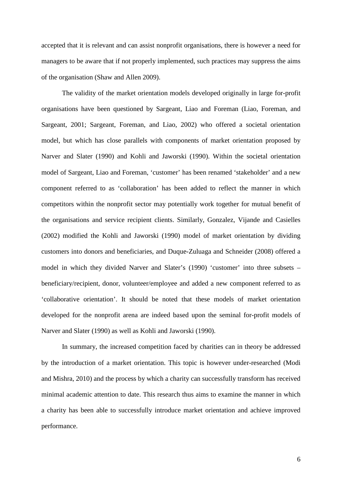accepted that it is relevant and can assist nonprofit organisations, there is however a need for managers to be aware that if not properly implemented, such practices may suppress the aims of the organisation (Shaw and Allen 2009).

The validity of the market orientation models developed originally in large for-profit organisations have been questioned by Sargeant, Liao and Foreman (Liao, Foreman, and Sargeant, 2001; Sargeant, Foreman, and Liao, 2002) who offered a societal orientation model, but which has close parallels with components of market orientation proposed by Narver and Slater (1990) and Kohli and Jaworski (1990). Within the societal orientation model of Sargeant, Liao and Foreman, 'customer' has been renamed 'stakeholder' and a new component referred to as 'collaboration' has been added to reflect the manner in which competitors within the nonprofit sector may potentially work together for mutual benefit of the organisations and service recipient clients. Similarly, Gonzalez, Vijande and Casielles (2002) modified the Kohli and Jaworski (1990) model of market orientation by dividing customers into donors and beneficiaries, and Duque-Zuluaga and Schneider (2008) offered a model in which they divided Narver and Slater's (1990) 'customer' into three subsets – beneficiary/recipient, donor, volunteer/employee and added a new component referred to as 'collaborative orientation'. It should be noted that these models of market orientation developed for the nonprofit arena are indeed based upon the seminal for-profit models of Narver and Slater (1990) as well as Kohli and Jaworski (1990).

In summary, the increased competition faced by charities can in theory be addressed by the introduction of a market orientation. This topic is however under-researched (Modi and Mishra, 2010) and the process by which a charity can successfully transform has received minimal academic attention to date. This research thus aims to examine the manner in which a charity has been able to successfully introduce market orientation and achieve improved performance.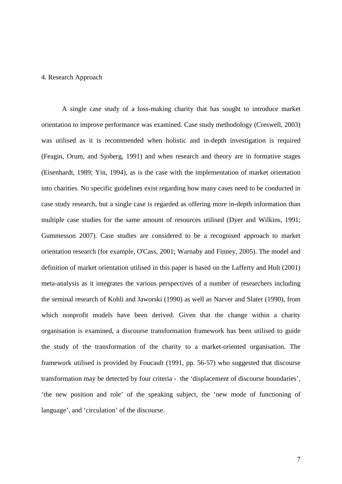#### 4. Research Approach

A single case study of a loss-making charity that has sought to introduce market orientation to improve performance was examined. Case study methodology (Creswell, 2003) was utilised as it is recommended when holistic and in-depth investigation is required (Feagin, Orum, and Sjoberg, 1991) and when research and theory are in formative stages (Eisenhardt, 1989; Yin, 1994), as is the case with the implementation of market orientation into charities. No specific guidelines exist regarding how many cases need to be conducted in case study research, but a single case is regarded as offering more in-depth information than multiple case studies for the same amount of resources utilised (Dyer and Wilkins, 1991; Gummesson 2007). Case studies are considered to be a recognised approach to market orientation research (for example, O'Cass, 2001; Warnaby and Finney, 2005). The model and definition of market orientation utilised in this paper is based on the Lafferty and Hult (2001) meta-analysis as it integrates the various perspectives of a number of researchers including the seminal research of Kohli and Jaworski (1990) as well as Narver and Slater (1990), from which nonprofit models have been derived. Given that the change within a charity organisation is examined, a discourse transformation framework has been utilised to guide the study of the transformation of the charity to a market-oriented organisation. The framework utilised is provided by Foucault (1991, pp. 56-57) who suggested that discourse transformation may be detected by four criteria - the 'displacement of discourse boundaries', 'the new position and role' of the speaking subject, the 'new mode of functioning of language', and 'circulation' of the discourse.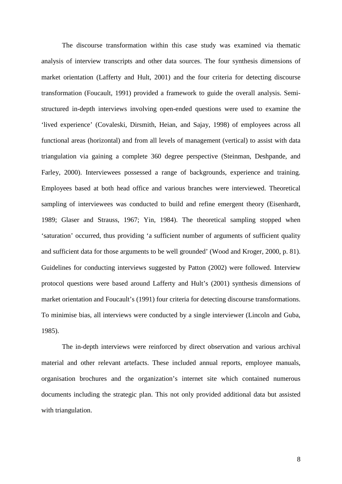The discourse transformation within this case study was examined via thematic analysis of interview transcripts and other data sources. The four synthesis dimensions of market orientation (Lafferty and Hult, 2001) and the four criteria for detecting discourse transformation (Foucault, 1991) provided a framework to guide the overall analysis. Semistructured in-depth interviews involving open-ended questions were used to examine the 'lived experience' (Covaleski, Dirsmith, Heian, and Sajay, 1998) of employees across all functional areas (horizontal) and from all levels of management (vertical) to assist with data triangulation via gaining a complete 360 degree perspective (Steinman, Deshpande, and Farley, 2000). Interviewees possessed a range of backgrounds, experience and training. Employees based at both head office and various branches were interviewed. Theoretical sampling of interviewees was conducted to build and refine emergent theory (Eisenhardt, 1989; Glaser and Strauss, 1967; Yin, 1984). The theoretical sampling stopped when 'saturation' occurred, thus providing 'a sufficient number of arguments of sufficient quality and sufficient data for those arguments to be well grounded' (Wood and Kroger, 2000, p. 81). Guidelines for conducting interviews suggested by Patton (2002) were followed. Interview protocol questions were based around Lafferty and Hult's (2001) synthesis dimensions of market orientation and Foucault's (1991) four criteria for detecting discourse transformations. To minimise bias, all interviews were conducted by a single interviewer (Lincoln and Guba, 1985).

The in-depth interviews were reinforced by direct observation and various archival material and other relevant artefacts. These included annual reports, employee manuals, organisation brochures and the organization's internet site which contained numerous documents including the strategic plan. This not only provided additional data but assisted with triangulation.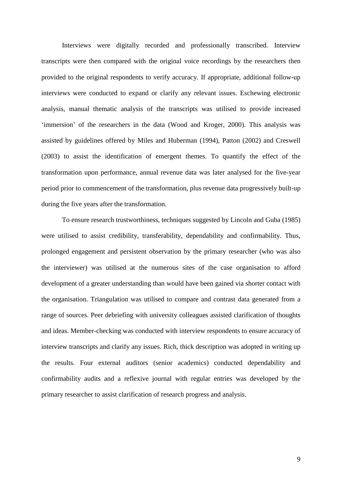Interviews were digitally recorded and professionally transcribed. Interview transcripts were then compared with the original voice recordings by the researchers then provided to the original respondents to verify accuracy. If appropriate, additional follow-up interviews were conducted to expand or clarify any relevant issues. Eschewing electronic analysis, manual thematic analysis of the transcripts was utilised to provide increased 'immersion' of the researchers in the data (Wood and Kroger, 2000). This analysis was assisted by guidelines offered by Miles and Huberman (1994), Patton (2002) and Creswell (2003) to assist the identification of emergent themes. To quantify the effect of the transformation upon performance, annual revenue data was later analysed for the five-year period prior to commencement of the transformation, plus revenue data progressively built-up during the five years after the transformation.

To ensure research trustworthiness, techniques suggested by Lincoln and Guba (1985) were utilised to assist credibility, transferability, dependability and confirmability. Thus, prolonged engagement and persistent observation by the primary researcher (who was also the interviewer) was utilised at the numerous sites of the case organisation to afford development of a greater understanding than would have been gained via shorter contact with the organisation. Triangulation was utilised to compare and contrast data generated from a range of sources. Peer debriefing with university colleagues assisted clarification of thoughts and ideas. Member-checking was conducted with interview respondents to ensure accuracy of interview transcripts and clarify any issues. Rich, thick description was adopted in writing up the results. Four external auditors (senior academics) conducted dependability and confirmability audits and a reflexive journal with regular entries was developed by the primary researcher to assist clarification of research progress and analysis.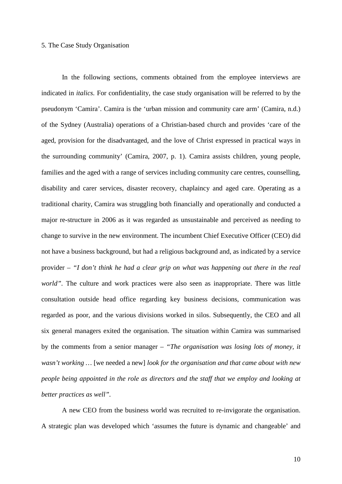#### 5. The Case Study Organisation

In the following sections, comments obtained from the employee interviews are indicated in *italics.* For confidentiality, the case study organisation will be referred to by the pseudonym 'Camira'. Camira is the 'urban mission and community care arm' (Camira, n.d.) of the Sydney (Australia) operations of a Christian-based church and provides 'care of the aged, provision for the disadvantaged, and the love of Christ expressed in practical ways in the surrounding community' (Camira, 2007, p. 1). Camira assists children, young people, families and the aged with a range of services including community care centres, counselling, disability and carer services, disaster recovery, chaplaincy and aged care. Operating as a traditional charity, Camira was struggling both financially and operationally and conducted a major re-structure in 2006 as it was regarded as unsustainable and perceived as needing to change to survive in the new environment. The incumbent Chief Executive Officer (CEO) did not have a business background, but had a religious background and, as indicated by a service provider – *"I don't think he had a clear grip on what was happening out there in the real world"*. The culture and work practices were also seen as inappropriate. There was little consultation outside head office regarding key business decisions, communication was regarded as poor, and the various divisions worked in silos. Subsequently, the CEO and all six general managers exited the organisation. The situation within Camira was summarised by the comments from a senior manager – *"The organisation was losing lots of money, it wasn't working …* [we needed a new] *look for the organisation and that came about with new people being appointed in the role as directors and the staff that we employ and looking at better practices as well".*

A new CEO from the business world was recruited to re-invigorate the organisation. A strategic plan was developed which 'assumes the future is dynamic and changeable' and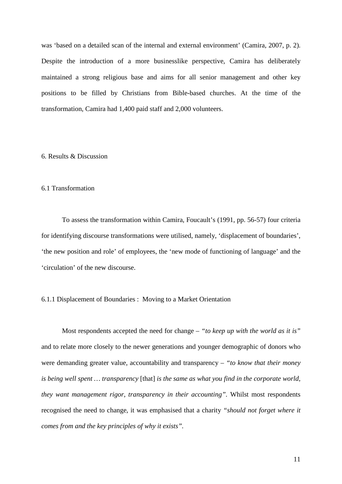was 'based on a detailed scan of the internal and external environment' (Camira, 2007, p. 2). Despite the introduction of a more businesslike perspective, Camira has deliberately maintained a strong religious base and aims for all senior management and other key positions to be filled by Christians from Bible-based churches. At the time of the transformation, Camira had 1,400 paid staff and 2,000 volunteers.

## 6. Results & Discussion

#### 6.1 Transformation

To assess the transformation within Camira, Foucault's (1991, pp. 56-57) four criteria for identifying discourse transformations were utilised, namely, 'displacement of boundaries', 'the new position and role' of employees, the 'new mode of functioning of language' and the 'circulation' of the new discourse.

## 6.1.1 Displacement of Boundaries : Moving to a Market Orientation

Most respondents accepted the need for change – *"to keep up with the world as it is"* and to relate more closely to the newer generations and younger demographic of donors who were demanding greater value, accountability and transparency – *"to know that their money is being well spent … transparency* [that] *is the same as what you find in the corporate world, they want management rigor, transparency in their accounting".* Whilst most respondents recognised the need to change, it was emphasised that a charity *"should not forget where it comes from and the key principles of why it exists".*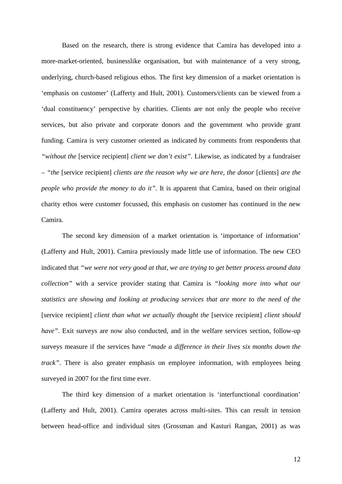Based on the research, there is strong evidence that Camira has developed into a more-market-oriented, businesslike organisation, but with maintenance of a very strong, underlying, church-based religious ethos. The first key dimension of a market orientation is 'emphasis on customer' (Lafferty and Hult, 2001). Customers/clients can be viewed from a 'dual constituency' perspective by charities. Clients are not only the people who receive services, but also private and corporate donors and the government who provide grant funding. Camira is very customer oriented as indicated by comments from respondents that *"without the* [service recipient] *client we don't exist"*. Likewise, as indicated by a fundraiser – *"the* [service recipient] *clients are the reason why we are here, the donor* [clients] *are the people who provide the money to do it"*. It is apparent that Camira, based on their original charity ethos were customer focussed, this emphasis on customer has continued in the new Camira.

The second key dimension of a market orientation is 'importance of information' (Lafferty and Hult, 2001). Camira previously made little use of information. The new CEO indicated that *"we were not very good at that, we are trying to get better process around data collection"* with a service provider stating that Camira is *"looking more into what our statistics are showing and looking at producing services that are more to the need of the* [service recipient] *client than what we actually thought the* [service recipient] *client should have"*. Exit surveys are now also conducted, and in the welfare services section, follow-up surveys measure if the services have *"made a difference in their lives six months down the track*". There is also greater emphasis on employee information, with employees being surveyed in 2007 for the first time ever.

The third key dimension of a market orientation is 'interfunctional coordination' (Lafferty and Hult, 2001). Camira operates across multi-sites. This can result in tension between head-office and individual sites (Grossman and Kasturi Rangan, 2001) as was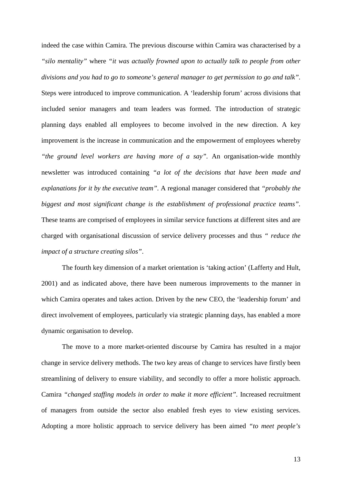indeed the case within Camira. The previous discourse within Camira was characterised by a *"silo mentality"* where *"it was actually frowned upon to actually talk to people from other divisions and you had to go to someone's general manager to get permission to go and talk".*  Steps were introduced to improve communication. A 'leadership forum' across divisions that included senior managers and team leaders was formed. The introduction of strategic planning days enabled all employees to become involved in the new direction. A key improvement is the increase in communication and the empowerment of employees whereby *"the ground level workers are having more of a say".* An organisation-wide monthly newsletter was introduced containing *"a lot of the decisions that have been made and explanations for it by the executive team".* A regional manager considered that *"probably the biggest and most significant change is the establishment of professional practice teams".* These teams are comprised of employees in similar service functions at different sites and are charged with organisational discussion of service delivery processes and thus *" reduce the impact of a structure creating silos"*.

The fourth key dimension of a market orientation is 'taking action' (Lafferty and Hult, 2001) and as indicated above, there have been numerous improvements to the manner in which Camira operates and takes action. Driven by the new CEO, the 'leadership forum' and direct involvement of employees, particularly via strategic planning days, has enabled a more dynamic organisation to develop.

The move to a more market-oriented discourse by Camira has resulted in a major change in service delivery methods. The two key areas of change to services have firstly been streamlining of delivery to ensure viability, and secondly to offer a more holistic approach. Camira *"changed staffing models in order to make it more efficient".* Increased recruitment of managers from outside the sector also enabled fresh eyes to view existing services. Adopting a more holistic approach to service delivery has been aimed *"to meet people's*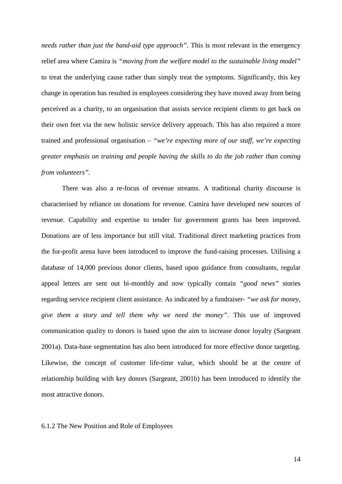*needs rather than just the band-aid type approach"*. This is most relevant in the emergency relief area where Camira is *"moving from the welfare model to the sustainable living model"*  to treat the underlying cause rather than simply treat the symptoms. Significantly, this key change in operation has resulted in employees considering they have moved away from being perceived as a charity, to an organisation that assists service recipient clients to get back on their own feet via the new holistic service delivery approach. This has also required a more trained and professional organisation – *"we're expecting more of our staff, we're expecting greater emphasis on training and people having the skills to do the job rather than coming from volunteers".*

There was also a re-focus of revenue streams. A traditional charity discourse is characterised by reliance on donations for revenue. Camira have developed new sources of revenue. Capability and expertise to tender for government grants has been improved. Donations are of less importance but still vital. Traditional direct marketing practices from the for-profit arena have been introduced to improve the fund-raising processes. Utilising a database of 14,000 previous donor clients, based upon guidance from consultants, regular appeal letters are sent out bi-monthly and now typically contain *"good news"* stories regarding service recipient client assistance. As indicated by a fundraiser- *"we ask for money, give them a story and tell them why we need the money".* This use of improved communication quality to donors is based upon the aim to increase donor loyalty (Sargeant 2001a). Data-base segmentation has also been introduced for more effective donor targeting. Likewise, the concept of customer life-time value, which should be at the centre of relationship building with key donors (Sargeant, 2001b) has been introduced to identify the most attractive donors.

## 6.1.2 The New Position and Role of Employees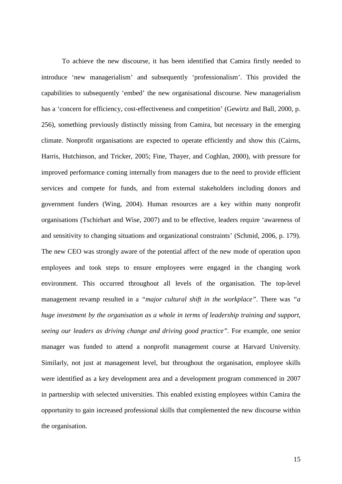To achieve the new discourse, it has been identified that Camira firstly needed to introduce 'new managerialism' and subsequently 'professionalism'. This provided the capabilities to subsequently 'embed' the new organisational discourse. New managerialism has a 'concern for efficiency, cost-effectiveness and competition' (Gewirtz and Ball, 2000, p. 256), something previously distinctly missing from Camira, but necessary in the emerging climate. Nonprofit organisations are expected to operate efficiently and show this (Cairns, Harris, Hutchinson, and Tricker, 2005; Fine, Thayer, and Coghlan, 2000), with pressure for improved performance coming internally from managers due to the need to provide efficient services and compete for funds, and from external stakeholders including donors and government funders (Wing, 2004). Human resources are a key within many nonprofit organisations (Tschirhart and Wise, 2007) and to be effective, leaders require 'awareness of and sensitivity to changing situations and organizational constraints' (Schmid, 2006, p. 179). The new CEO was strongly aware of the potential affect of the new mode of operation upon employees and took steps to ensure employees were engaged in the changing work environment. This occurred throughout all levels of the organisation. The top-level management revamp resulted in a *"major cultural shift in the workplace".* There was *"a huge investment by the organisation as a whole in terms of leadership training and support, seeing our leaders as driving change and driving good practice".* For example, one senior manager was funded to attend a nonprofit management course at Harvard University. Similarly, not just at management level, but throughout the organisation, employee skills were identified as a key development area and a development program commenced in 2007 in partnership with selected universities. This enabled existing employees within Camira the opportunity to gain increased professional skills that complemented the new discourse within the organisation.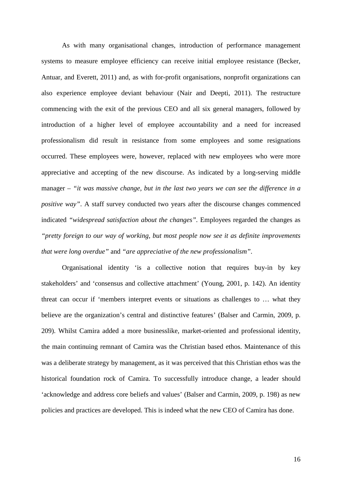As with many organisational changes, introduction of performance management systems to measure employee efficiency can receive initial employee resistance (Becker, Antuar, and Everett, 2011) and, as with for-profit organisations, nonprofit organizations can also experience employee deviant behaviour (Nair and Deepti, 2011). The restructure commencing with the exit of the previous CEO and all six general managers, followed by introduction of a higher level of employee accountability and a need for increased professionalism did result in resistance from some employees and some resignations occurred. These employees were, however, replaced with new employees who were more appreciative and accepting of the new discourse. As indicated by a long-serving middle manager – *"it was massive change, but in the last two years we can see the difference in a positive way"*. A staff survey conducted two years after the discourse changes commenced indicated *"widespread satisfaction about the changes".* Employees regarded the changes as *"pretty foreign to our way of working, but most people now see it as definite improvements that were long overdue"* and *"are appreciative of the new professionalism"*.

Organisational identity 'is a collective notion that requires buy-in by key stakeholders' and 'consensus and collective attachment' (Young, 2001, p. 142). An identity threat can occur if 'members interpret events or situations as challenges to … what they believe are the organization's central and distinctive features' (Balser and Carmin, 2009, p. 209). Whilst Camira added a more businesslike, market-oriented and professional identity, the main continuing remnant of Camira was the Christian based ethos. Maintenance of this was a deliberate strategy by management, as it was perceived that this Christian ethos was the historical foundation rock of Camira. To successfully introduce change, a leader should 'acknowledge and address core beliefs and values' (Balser and Carmin, 2009, p. 198) as new policies and practices are developed. This is indeed what the new CEO of Camira has done.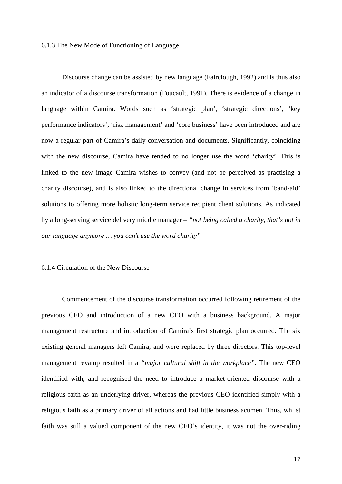#### 6.1.3 The New Mode of Functioning of Language

Discourse change can be assisted by new language (Fairclough, 1992) and is thus also an indicator of a discourse transformation (Foucault, 1991). There is evidence of a change in language within Camira. Words such as 'strategic plan', 'strategic directions', 'key performance indicators', 'risk management' and 'core business' have been introduced and are now a regular part of Camira's daily conversation and documents. Significantly, coinciding with the new discourse, Camira have tended to no longer use the word 'charity'. This is linked to the new image Camira wishes to convey (and not be perceived as practising a charity discourse), and is also linked to the directional change in services from 'band-aid' solutions to offering more holistic long-term service recipient client solutions. As indicated by a long-serving service delivery middle manager – *"not being called a charity, that's not in our language anymore … you can't use the word charity"*

## 6.1.4 Circulation of the New Discourse

Commencement of the discourse transformation occurred following retirement of the previous CEO and introduction of a new CEO with a business background. A major management restructure and introduction of Camira's first strategic plan occurred. The six existing general managers left Camira, and were replaced by three directors. This top-level management revamp resulted in a *"major cultural shift in the workplace".* The new CEO identified with, and recognised the need to introduce a market-oriented discourse with a religious faith as an underlying driver, whereas the previous CEO identified simply with a religious faith as a primary driver of all actions and had little business acumen. Thus, whilst faith was still a valued component of the new CEO's identity, it was not the over-riding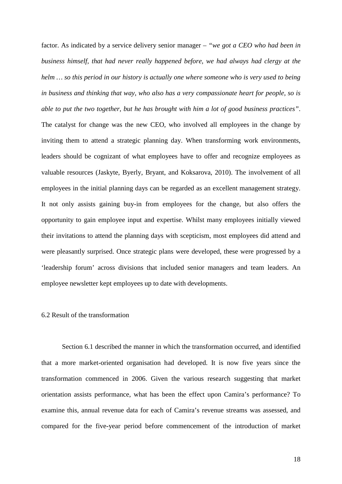factor. As indicated by a service delivery senior manager – *"we got a CEO who had been in business himself, that had never really happened before, we had always had clergy at the helm … so this period in our history is actually one where someone who is very used to being in business and thinking that way, who also has a very compassionate heart for people, so is able to put the two together, but he has brought with him a lot of good business practices"*. The catalyst for change was the new CEO, who involved all employees in the change by inviting them to attend a strategic planning day. When transforming work environments, leaders should be cognizant of what employees have to offer and recognize employees as valuable resources (Jaskyte, Byerly, Bryant, and Koksarova, 2010). The involvement of all employees in the initial planning days can be regarded as an excellent management strategy. It not only assists gaining buy-in from employees for the change, but also offers the opportunity to gain employee input and expertise. Whilst many employees initially viewed their invitations to attend the planning days with scepticism, most employees did attend and were pleasantly surprised. Once strategic plans were developed, these were progressed by a 'leadership forum' across divisions that included senior managers and team leaders. An employee newsletter kept employees up to date with developments.

#### 6.2 Result of the transformation

Section 6.1 described the manner in which the transformation occurred, and identified that a more market-oriented organisation had developed. It is now five years since the transformation commenced in 2006. Given the various research suggesting that market orientation assists performance, what has been the effect upon Camira's performance? To examine this, annual revenue data for each of Camira's revenue streams was assessed, and compared for the five-year period before commencement of the introduction of market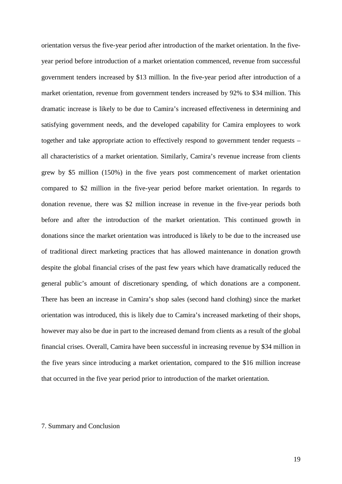orientation versus the five-year period after introduction of the market orientation. In the fiveyear period before introduction of a market orientation commenced, revenue from successful government tenders increased by \$13 million. In the five-year period after introduction of a market orientation, revenue from government tenders increased by 92% to \$34 million. This dramatic increase is likely to be due to Camira's increased effectiveness in determining and satisfying government needs, and the developed capability for Camira employees to work together and take appropriate action to effectively respond to government tender requests – all characteristics of a market orientation. Similarly, Camira's revenue increase from clients grew by \$5 million (150%) in the five years post commencement of market orientation compared to \$2 million in the five-year period before market orientation. In regards to donation revenue, there was \$2 million increase in revenue in the five-year periods both before and after the introduction of the market orientation. This continued growth in donations since the market orientation was introduced is likely to be due to the increased use of traditional direct marketing practices that has allowed maintenance in donation growth despite the global financial crises of the past few years which have dramatically reduced the general public's amount of discretionary spending, of which donations are a component. There has been an increase in Camira's shop sales (second hand clothing) since the market orientation was introduced, this is likely due to Camira's increased marketing of their shops, however may also be due in part to the increased demand from clients as a result of the global financial crises. Overall, Camira have been successful in increasing revenue by \$34 million in the five years since introducing a market orientation, compared to the \$16 million increase that occurred in the five year period prior to introduction of the market orientation.

#### 7. Summary and Conclusion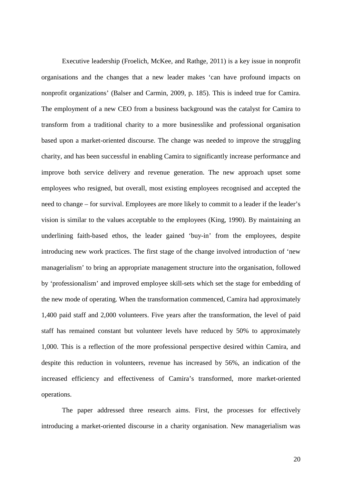Executive leadership (Froelich, McKee, and Rathge, 2011) is a key issue in nonprofit organisations and the changes that a new leader makes 'can have profound impacts on nonprofit organizations' (Balser and Carmin, 2009, p. 185). This is indeed true for Camira. The employment of a new CEO from a business background was the catalyst for Camira to transform from a traditional charity to a more businesslike and professional organisation based upon a market-oriented discourse. The change was needed to improve the struggling charity, and has been successful in enabling Camira to significantly increase performance and improve both service delivery and revenue generation. The new approach upset some employees who resigned, but overall, most existing employees recognised and accepted the need to change – for survival. Employees are more likely to commit to a leader if the leader's vision is similar to the values acceptable to the employees (King, 1990). By maintaining an underlining faith-based ethos, the leader gained 'buy-in' from the employees, despite introducing new work practices. The first stage of the change involved introduction of 'new managerialism' to bring an appropriate management structure into the organisation, followed by 'professionalism' and improved employee skill-sets which set the stage for embedding of the new mode of operating. When the transformation commenced, Camira had approximately 1,400 paid staff and 2,000 volunteers. Five years after the transformation, the level of paid staff has remained constant but volunteer levels have reduced by 50% to approximately 1,000. This is a reflection of the more professional perspective desired within Camira, and despite this reduction in volunteers, revenue has increased by 56%, an indication of the increased efficiency and effectiveness of Camira's transformed, more market-oriented operations.

The paper addressed three research aims. First, the processes for effectively introducing a market-oriented discourse in a charity organisation. New managerialism was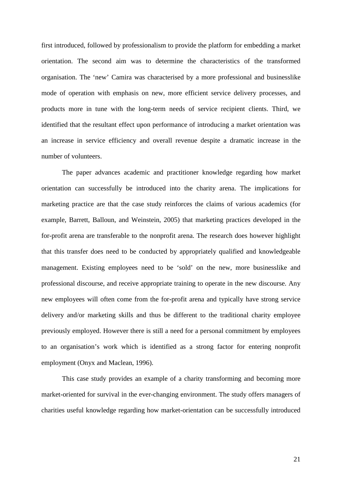first introduced, followed by professionalism to provide the platform for embedding a market orientation. The second aim was to determine the characteristics of the transformed organisation. The 'new' Camira was characterised by a more professional and businesslike mode of operation with emphasis on new, more efficient service delivery processes, and products more in tune with the long-term needs of service recipient clients. Third, we identified that the resultant effect upon performance of introducing a market orientation was an increase in service efficiency and overall revenue despite a dramatic increase in the number of volunteers.

The paper advances academic and practitioner knowledge regarding how market orientation can successfully be introduced into the charity arena. The implications for marketing practice are that the case study reinforces the claims of various academics (for example, Barrett, Balloun, and Weinstein, 2005) that marketing practices developed in the for-profit arena are transferable to the nonprofit arena. The research does however highlight that this transfer does need to be conducted by appropriately qualified and knowledgeable management. Existing employees need to be 'sold' on the new, more businesslike and professional discourse, and receive appropriate training to operate in the new discourse. Any new employees will often come from the for-profit arena and typically have strong service delivery and/or marketing skills and thus be different to the traditional charity employee previously employed. However there is still a need for a personal commitment by employees to an organisation's work which is identified as a strong factor for entering nonprofit employment (Onyx and Maclean, 1996).

This case study provides an example of a charity transforming and becoming more market-oriented for survival in the ever-changing environment. The study offers managers of charities useful knowledge regarding how market-orientation can be successfully introduced

21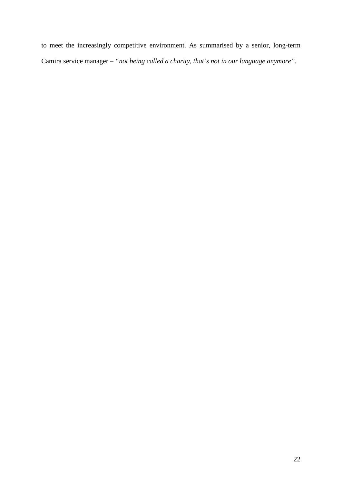to meet the increasingly competitive environment. As summarised by a senior, long-term Camira service manager – *"not being called a charity, that's not in our language anymore".*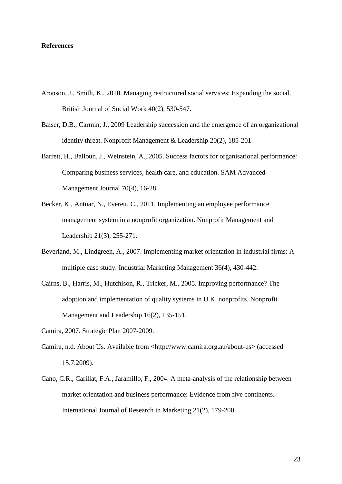#### **References**

- Aronson, J., Smith, K., 2010. Managing restructured social services: Expanding the social. British Journal of Social Work 40(2), 530-547.
- Balser, D.B., Carmin, J., 2009 Leadership succession and the emergence of an organizational identity threat. Nonprofit Management & Leadership 20(2), 185-201.
- Barrett, H., Balloun, J., Weinstein, A., 2005. Success factors for organisational performance: Comparing business services, health care, and education. SAM Advanced Management Journal 70(4), 16-28.
- Becker, K., Antuar, N., Everett, C., 2011. Implementing an employee performance management system in a nonprofit organization. Nonprofit Management and Leadership 21(3), 255-271.
- Beverland, M., Lindgreen, A., 2007. Implementing market orientation in industrial firms: A multiple case study. Industrial Marketing Management 36(4), 430-442.
- Cairns, B., Harris, M., Hutchison, R., Tricker, M., 2005. Improving performance? The adoption and implementation of quality systems in U.K. nonprofits. Nonprofit Management and Leadership 16(2), 135-151.
- Camira, 2007. Strategic Plan 2007-2009.
- Camira, n.d. About Us. Available from <http:/[/www.camira.org.au/about-us>](http://www.camira.org.au/about-us%3e) (accessed 15.7.2009).
- Cano, C.R., Carillat, F.A., Jaramillo, F., 2004. A meta-analysis of the relationship between market orientation and business performance: Evidence from five continents. International Journal of Research in Marketing 21(2), 179-200.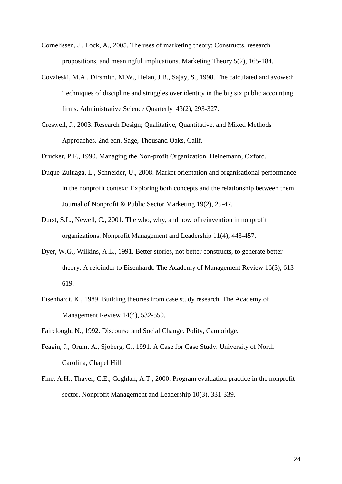- Cornelissen, J., Lock, A., 2005. The uses of marketing theory: Constructs, research propositions, and meaningful implications. Marketing Theory 5(2), 165-184.
- Covaleski, M.A., Dirsmith, M.W., Heian, J.B., Sajay, S., 1998. The calculated and avowed: Techniques of discipline and struggles over identity in the big six public accounting firms. Administrative Science Quarterly 43(2), 293-327.
- Creswell, J., 2003. Research Design; Qualitative, Quantitative, and Mixed Methods Approaches. 2nd edn. Sage, Thousand Oaks, Calif.
- Drucker, P.F., 1990. Managing the Non-profit Organization. Heinemann, Oxford.
- Duque-Zuluaga, L., Schneider, U., 2008. Market orientation and organisational performance in the nonprofit context: Exploring both concepts and the relationship between them. Journal of Nonprofit & Public Sector Marketing 19(2), 25-47.
- Durst, S.L., Newell, C., 2001. The who, why, and how of reinvention in nonprofit organizations. Nonprofit Management and Leadership 11(4), 443-457.
- Dyer, W.G., Wilkins, A.L., 1991. Better stories, not better constructs, to generate better theory: A rejoinder to Eisenhardt. The Academy of Management Review 16(3), 613- 619.
- Eisenhardt, K., 1989. Building theories from case study research. The Academy of Management Review 14(4), 532-550.
- Fairclough, N., 1992. Discourse and Social Change. Polity, Cambridge.
- Feagin, J., Orum, A., Sjoberg, G., 1991. A Case for Case Study. University of North Carolina, Chapel Hill.
- Fine, A.H., Thayer, C.E., Coghlan, A.T., 2000. Program evaluation practice in the nonprofit sector. Nonprofit Management and Leadership 10(3), 331-339.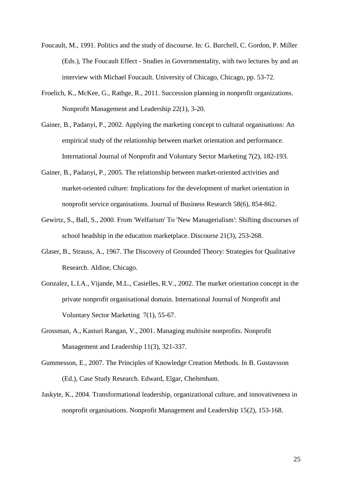- Foucault, M., 1991. Politics and the study of discourse. In: G. Burchell, C. Gordon, P. Miller (Eds.), The Foucault Effect - Studies in Governmentality, with two lectures by and an interview with Michael Foucault. University of Chicago, Chicago, pp. 53-72.
- Froelich, K., McKee, G., Rathge, R., 2011. Succession planning in nonprofit organizations. Nonprofit Management and Leadership 22(1), 3-20.
- Gainer, B., Padanyi, P., 2002. Applying the marketing concept to cultural organisations: An empirical study of the relationship between market orientation and performance. International Journal of Nonprofit and Voluntary Sector Marketing 7(2), 182-193.
- Gainer, B., Padanyi, P., 2005. The relationship between market-oriented activities and market-oriented culture: Implications for the development of market orientation in nonprofit service organisations. Journal of Business Research 58(6), 854-862.
- Gewirtz, S., Ball, S., 2000. From 'Welfarism' To 'New Managerialism': Shifting discourses of school headship in the education marketplace. Discourse 21(3), 253-268.
- Glaser, B., Strauss, A., 1967. The Discovery of Grounded Theory: Strategies for Qualitative Research. Aldine, Chicago.
- Gonzalez, L.I.A., Vijande, M.L., Casielles, R.V., 2002. The market orientation concept in the private nonprofit organisational domain. International Journal of Nonprofit and Voluntary Sector Marketing 7(1), 55-67.
- Grossman, A., Kasturi Rangan, V., 2001. Managing multisite nonprofits. Nonprofit Management and Leadership 11(3), 321-337.
- Gummesson, E., 2007. The Principles of Knowledge Creation Methods. In B. Gustavsson (Ed.), Case Study Research. Edward, Elgar, Cheltenham.
- Jaskyte, K., 2004. Transformational leadership, organizational culture, and innovativeness in nonprofit organisations. Nonprofit Management and Leadership 15(2), 153-168.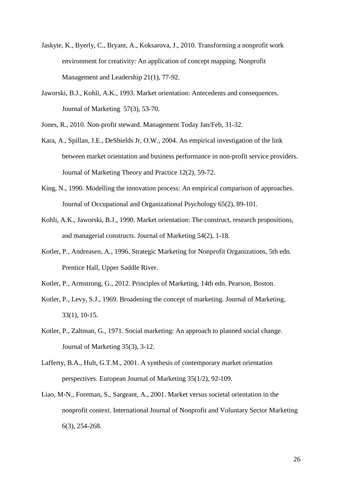- Jaskyte, K., Byerly, C., Bryant, A., Koksarova, J., 2010. Transforming a nonprofit work environment for creativity: An application of concept mapping. Nonprofit Management and Leadership 21(1), 77-92.
- Jaworski, B.J., Kohli, A.K., 1993. Market orientation: Antecedents and consequences. Journal of Marketing 57(3), 53-70.

Jones, R., 2010. Non-profit steward. Management Today Jan/Feb, 31-32.

- Kara, A., Spillan, J.E., DeShields Jr, O.W., 2004. An empirical investigation of the link between market orientation and business performance in non-profit service providers. Journal of Marketing Theory and Practice 12(2), 59-72.
- King, N., 1990. Modelling the innovation process: An empirical comparison of approaches. Journal of Occupational and Organizational Psychology 65(2), 89-101.
- Kohli, A.K., Jaworski, B.J., 1990. Market orientation: The construct, research propositions, and managerial constructs. Journal of Marketing 54(2), 1-18.
- Kotler, P., Andreasen, A., 1996. Strategic Marketing for Nonprofit Organizations, 5th edn. Prentice Hall, Upper Saddle River.
- Kotler, P., Armstrong, G., 2012. Principles of Marketing, 14th edn. Pearson, Boston.
- Kotler, P., Levy, S.J., 1969. Broadening the concept of marketing. Journal of Marketing, 33(1), 10-15.
- Kotler, P., Zaltman, G., 1971. Social marketing: An approach to planned social change. Journal of Marketing 35(3), 3-12.
- Lafferty, B.A., Hult, G.T.M., 2001. A synthesis of contemporary market orientation perspectives. European Journal of Marketing 35(1/2), 92-109.
- Liao, M-N., Foreman, S., Sargeant, A., 2001. Market versus societal orientation in the nonprofit context. International Journal of Nonprofit and Voluntary Sector Marketing 6(3), 254-268.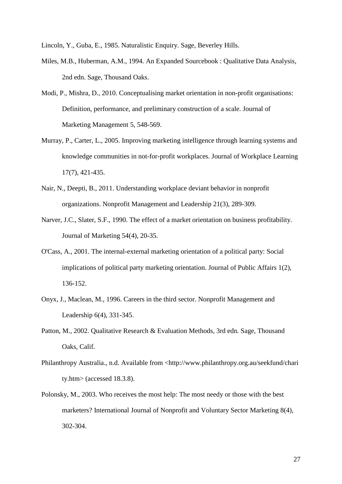Lincoln, Y., Guba, E., 1985. Naturalistic Enquiry. Sage, Beverley Hills.

- Miles, M.B., Huberman, A.M., 1994. An Expanded Sourcebook : Qualitative Data Analysis, 2nd edn. Sage, Thousand Oaks.
- Modi, P., Mishra, D., 2010. Conceptualising market orientation in non-profit organisations: Definition, performance, and preliminary construction of a scale. Journal of Marketing Management 5, 548-569.
- Murray, P., Carter, L., 2005. Improving marketing intelligence through learning systems and knowledge communities in not-for-profit workplaces. Journal of Workplace Learning 17(7), 421-435.
- Nair, N., Deepti, B., 2011. Understanding workplace deviant behavior in nonprofit organizations. Nonprofit Management and Leadership 21(3), 289-309.
- Narver, J.C., Slater, S.F., 1990. The effect of a market orientation on business profitability. Journal of Marketing 54(4), 20-35.
- O'Cass, A., 2001. The internal-external marketing orientation of a political party: Social implications of political party marketing orientation. Journal of Public Affairs 1(2), 136-152.
- Onyx, J., Maclean, M., 1996. Careers in the third sector. Nonprofit Management and Leadership 6(4), 331-345.
- Patton, M., 2002. Qualitative Research & Evaluation Methods, 3rd edn. Sage, Thousand Oaks, Calif.
- Philanthropy Australia., n.d. Available from <http://www.philanthropy.org.au/seekfund/chari ty.htm> (accessed 18.3.8).
- Polonsky, M., 2003. Who receives the most help: The most needy or those with the best marketers? International Journal of Nonprofit and Voluntary Sector Marketing 8(4), 302-304.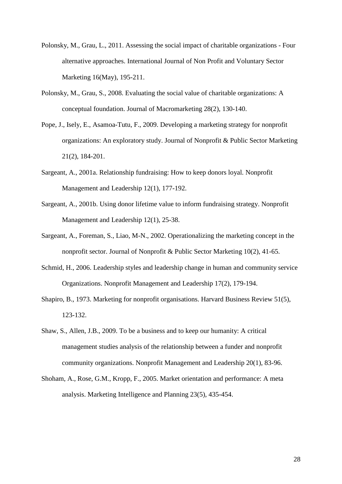- Polonsky, M., Grau, L., 2011. Assessing the social impact of charitable organizations Four alternative approaches. International Journal of Non Profit and Voluntary Sector Marketing 16(May), 195-211.
- Polonsky, M., Grau, S., 2008. Evaluating the social value of charitable organizations: A conceptual foundation. Journal of Macromarketing 28(2), 130-140.
- Pope, J., Isely, E., Asamoa-Tutu, F., 2009. Developing a marketing strategy for nonprofit organizations: An exploratory study. Journal of Nonprofit & Public Sector Marketing 21(2), 184-201.
- Sargeant, A., 2001a. Relationship fundraising: How to keep donors loyal. Nonprofit Management and Leadership 12(1), 177-192.
- Sargeant, A., 2001b. Using donor lifetime value to inform fundraising strategy. Nonprofit Management and Leadership 12(1), 25-38.
- Sargeant, A., Foreman, S., Liao, M-N., 2002. Operationalizing the marketing concept in the nonprofit sector. Journal of Nonprofit & Public Sector Marketing 10(2), 41-65.
- Schmid, H., 2006. Leadership styles and leadership change in human and community service Organizations. Nonprofit Management and Leadership 17(2), 179-194.
- Shapiro, B., 1973. Marketing for nonprofit organisations. Harvard Business Review 51(5), 123-132.
- Shaw, S., Allen, J.B., 2009. To be a business and to keep our humanity: A critical management studies analysis of the relationship between a funder and nonprofit community organizations. Nonprofit Management and Leadership 20(1), 83-96.
- Shoham, A., Rose, G.M., Kropp, F., 2005. Market orientation and performance: A meta analysis. Marketing Intelligence and Planning 23(5), 435-454.